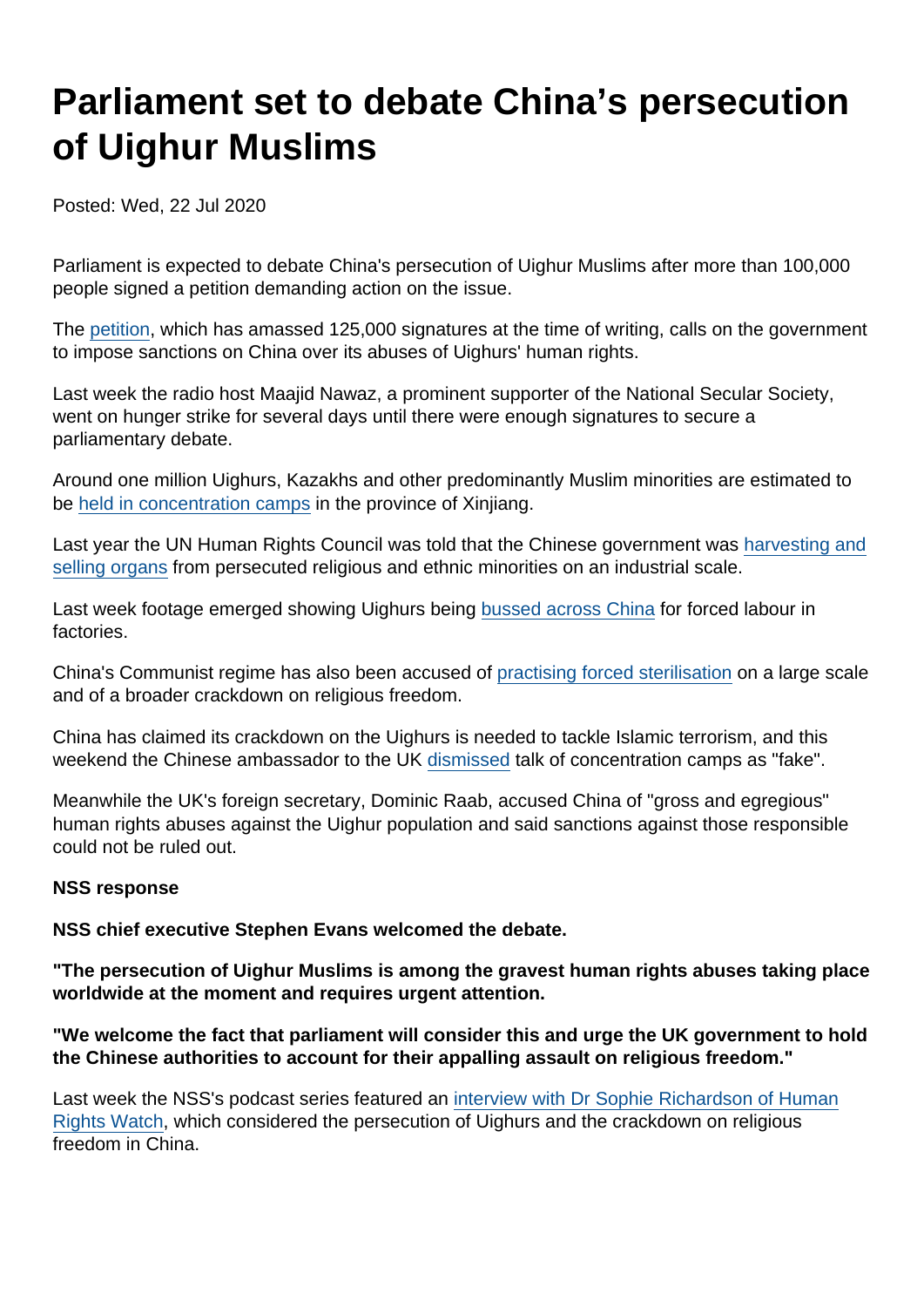## Parliament set to debate China's persecution of Uighur Muslims

Posted: Wed, 22 Jul 2020

Parliament is expected to debate China's persecution of Uighur Muslims after more than 100,000 people signed a petition demanding action on the issue.

The [petition,](https://petition.parliament.uk/petitions/300146) which has amassed 125,000 signatures at the time of writing, calls on the government to impose sanctions on China over its abuses of Uighurs' human rights.

Last week the radio host Maajid Nawaz, a prominent supporter of the National Secular Society, went on hunger strike for several days until there were enough signatures to secure a parliamentary debate.

Around one million Uighurs, Kazakhs and other predominantly Muslim minorities are estimated to be [held in concentration camps](https://www.washingtonpost.com/opinions/global-opinions/a-spreadsheet-of-those-in-hell-how-china-corralled-uighurs-into-concentration-camps/2020/02/28/4daeca4a-58c8-11ea-ab68-101ecfec2532_story.html) in the province of Xinjiang.

Last year the UN Human Rights Council was told that the Chinese government was [harvesting and](https://www.independent.co.uk/news/world/asia/china-religious-ethnic-minorities-uighur-muslim-harvest-organs-un-human-rights-a9117911.html) [selling organs](https://www.independent.co.uk/news/world/asia/china-religious-ethnic-minorities-uighur-muslim-harvest-organs-un-human-rights-a9117911.html) from persecuted religious and ethnic minorities on an industrial scale.

Last week footage emerged showing Uighurs being [bussed across China](https://www.channel4.com/news/uyghurs-bussed-across-china-for-forced-labour-in-factories-new-footage) for forced labour in factories.

China's Communist regime has also been accused of [practising forced sterilisation](https://apnews.com/269b3de1af34e17c1941a514f78d764c) on a large scale and of a broader crackdown on religious freedom.

China has claimed its crackdown on the Uighurs is needed to tackle Islamic terrorism, and this weekend the Chinese ambassador to the UK [dismissed](https://www.bbc.co.uk/news/uk-politics-53463403) talk of concentration camps as "fake".

Meanwhile the UK's foreign secretary, Dominic Raab, accused China of "gross and egregious" human rights abuses against the Uighur population and said sanctions against those responsible could not be ruled out.

## NSS response

NSS chief executive Stephen Evans welcomed the debate.

"The persecution of Uighur Muslims is among the gravest human rights abuses taking place worldwide at the moment and requires urgent attention.

"We welcome the fact that parliament will consider this and urge the UK government to hold the Chinese authorities to account for their appalling assault on religious freedom."

Last week the NSS's podcast series featured an [interview with Dr Sophie Richardson of Human](https://www.secularism.org.uk/podcast/2020/07/ep-30-religious-freedom-in-china) [Rights Watch](https://www.secularism.org.uk/podcast/2020/07/ep-30-religious-freedom-in-china), which considered the persecution of Uighurs and the crackdown on religious freedom in China.